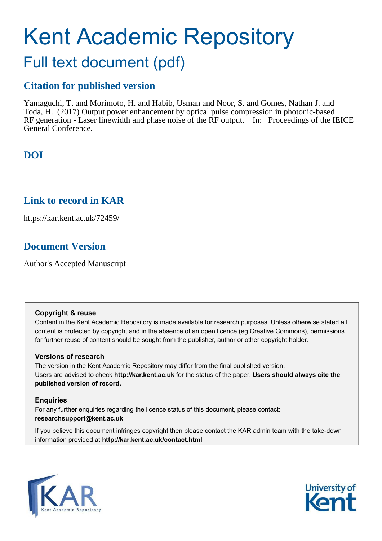# Kent Academic Repository Full text document (pdf)

### **Citation for published version**

Yamaguchi, T. and Morimoto, H. and Habib, Usman and Noor, S. and Gomes, Nathan J. and Toda, H. (2017) Output power enhancement by optical pulse compression in photonic-based RF generation - Laser linewidth and phase noise of the RF output. In: Proceedings of the IEICE General Conference.

# **DOI**

### **Link to record in KAR**

https://kar.kent.ac.uk/72459/

## **Document Version**

Author's Accepted Manuscript

### **Copyright & reuse**

Content in the Kent Academic Repository is made available for research purposes. Unless otherwise stated all content is protected by copyright and in the absence of an open licence (eg Creative Commons), permissions for further reuse of content should be sought from the publisher, author or other copyright holder.

### **Versions of research**

The version in the Kent Academic Repository may differ from the final published version. Users are advised to check **http://kar.kent.ac.uk** for the status of the paper. **Users should always cite the published version of record.**

### **Enquiries**

For any further enquiries regarding the licence status of this document, please contact: **researchsupport@kent.ac.uk**

If you believe this document infringes copyright then please contact the KAR admin team with the take-down information provided at **http://kar.kent.ac.uk/contact.html**